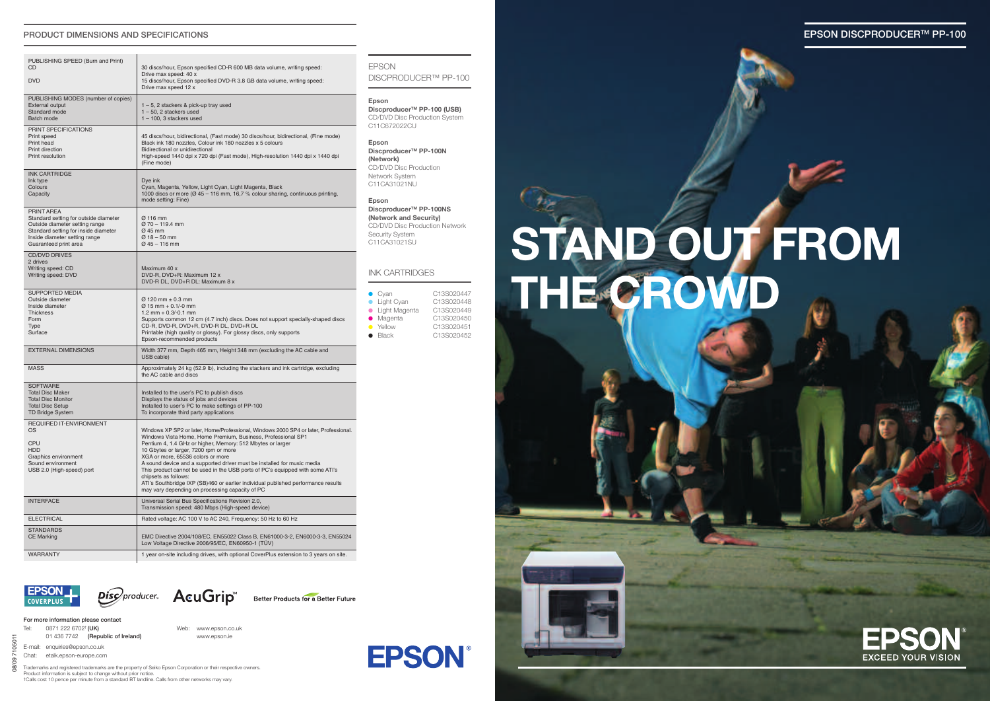**EPSON DISCPRODUCERTM PP-100**



# **STAND OUT FROM THE CROWD**



### **PRODUCT DIMENSIONS AND SPECIFICATIONS**

**For more information please contact**

Tel: 0871 222 6702† **(UK)** Web: www.epson.co.uk 01 436 7742 **(Republic of Ireland)** www.epson.ie

E-mail: enquiries@epson.co.uk

Chat: etalk.epson-europe.com

Trademarks and registered trademarks are the property of Seiko Epson Corporation or their respective owners. Product information is subject to change without prior notice. †Calls cost 10 pence per minute from a standard BT landline. Calls from other networks may vary.

08/09 7105011

 $0800$ 

**D50** 

**Epson DiscproducerTM PP-100 (USB)** CD/DVD Disc Production System C11C672022CU

**Epson DiscproducerTM PP-100N (Network)** CD/DVD Disc Production Network System C11CA31021NU

## **Epson**

**DiscproducerTM PP-100NS (Network and Security)** CD/DVD Disc Production Network Security System C11CA31021SU

| PUBLISHING SPEED (Burn and Print)<br>CD                                                                                                                                                 | 30 discs/hour, Epson specified CD-R 600 MB data volume, writing speed:                                                                                                                                                                                                                                                                                                                                                                                                                                                                                                                                                       |  |  |
|-----------------------------------------------------------------------------------------------------------------------------------------------------------------------------------------|------------------------------------------------------------------------------------------------------------------------------------------------------------------------------------------------------------------------------------------------------------------------------------------------------------------------------------------------------------------------------------------------------------------------------------------------------------------------------------------------------------------------------------------------------------------------------------------------------------------------------|--|--|
| <b>DVD</b>                                                                                                                                                                              | Drive max speed: 40 x<br>15 discs/hour, Epson specified DVD-R 3.8 GB data volume, writing speed:<br>Drive max speed 12 x                                                                                                                                                                                                                                                                                                                                                                                                                                                                                                     |  |  |
| PUBLISHING MODES (number of copies)<br><b>External output</b><br>Standard mode<br>Batch mode                                                                                            | $1 - 5$ , 2 stackers & pick-up tray used<br>$1 - 50$ , 2 stackers used<br>$1 - 100$ , 3 stackers used                                                                                                                                                                                                                                                                                                                                                                                                                                                                                                                        |  |  |
| PRINT SPECIFICATIONS<br>Print speed<br>Print head<br>Print direction<br>Print resolution                                                                                                | 45 discs/hour, bidirectional, (Fast mode) 30 discs/hour, bidirectional, (Fine mode)<br>Black ink 180 nozzles, Colour ink 180 nozzles x 5 colours<br>Bidirectional or unidirectional<br>High-speed 1440 dpi x 720 dpi (Fast mode), High-resolution 1440 dpi x 1440 dpi<br>(Fine mode)                                                                                                                                                                                                                                                                                                                                         |  |  |
| <b>INK CARTRIDGE</b><br>Ink type<br>Colours<br>Capacity                                                                                                                                 | Dye ink<br>Cyan, Magenta, Yellow, Light Cyan, Light Magenta, Black<br>1000 discs or more ( $\varnothing$ 45 – 116 mm, 16,7 % colour sharing, continuous printing,<br>mode setting: Fine)                                                                                                                                                                                                                                                                                                                                                                                                                                     |  |  |
| PRINT AREA<br>Standard setting for outside diameter<br>Outside diameter setting range<br>Standard setting for inside diameter<br>Inside diameter setting range<br>Guaranteed print area | $\varnothing$ 116 mm<br>$\varnothing$ 70 - 119.4 mm<br>$\varnothing$ 45 mm<br>$Ø$ 18 – 50 mm<br>$Q$ 45 – 116 mm                                                                                                                                                                                                                                                                                                                                                                                                                                                                                                              |  |  |
| <b>CD/DVD DRIVES</b><br>2 drives<br>Writing speed: CD<br>Writing speed: DVD                                                                                                             | Maximum 40 x<br>DVD-R, DVD+R: Maximum 12 x<br>DVD-R DL, DVD+R DL: Maximum 8 x                                                                                                                                                                                                                                                                                                                                                                                                                                                                                                                                                |  |  |
| <b>SUPPORTED MEDIA</b><br>Outside diameter<br>Inside diameter<br><b>Thickness</b><br>Form<br><b>Type</b><br>Surface                                                                     | $\varnothing$ 120 mm $\pm$ 0.3 mm<br>$\varnothing$ 15 mm + 0.1/-0 mm<br>$1.2$ mm + 0.3/-0.1 mm<br>Supports common 12 cm (4.7 inch) discs. Does not support specially-shaped discs<br>CD-R, DVD-R, DVD+R, DVD-R DL, DVD+R DL<br>Printable (high quality or glossy). For glossy discs, only supports<br>Epson-recommended products                                                                                                                                                                                                                                                                                             |  |  |
| <b>EXTERNAL DIMENSIONS</b>                                                                                                                                                              | Width 377 mm, Depth 465 mm, Height 348 mm (excluding the AC cable and<br>USB cable)                                                                                                                                                                                                                                                                                                                                                                                                                                                                                                                                          |  |  |
| <b>MASS</b>                                                                                                                                                                             | Approximately 24 kg (52.9 lb), including the stackers and ink cartridge, excluding<br>the AC cable and discs                                                                                                                                                                                                                                                                                                                                                                                                                                                                                                                 |  |  |
| <b>SOFTWARE</b><br><b>Total Disc Maker</b><br><b>Total Disc Monitor</b><br><b>Total Disc Setup</b><br><b>TD Bridge System</b>                                                           | Installed to the user's PC to publish discs<br>Displays the status of jobs and devices<br>Installed to user's PC to make settings of PP-100<br>To incorporate third party applications                                                                                                                                                                                                                                                                                                                                                                                                                                       |  |  |
| <b>REQUIRED IT-ENVIRONMENT</b><br>OS<br><b>CPU</b><br><b>HDD</b><br>Graphics environment<br>Sound environment<br>USB 2.0 (High-speed) port                                              | Windows XP SP2 or later, Home/Professional, Windows 2000 SP4 or later, Professional.<br>Windows Vista Home, Home Premium, Business, Professional SP1<br>Pentium 4, 1.4 GHz or higher, Memory: 512 Mbytes or larger<br>10 Gbytes or larger, 7200 rpm or more<br>XGA or more, 65536 colors or more<br>A sound device and a supported driver must be installed for music media<br>This product cannot be used in the USB ports of PC's equipped with some ATI's<br>chipsets as follows:<br>ATI's Southbridge IXP (SB)460 or earlier individual published performance results<br>may vary depending on processing capacity of PC |  |  |
| <b>INTERFACE</b>                                                                                                                                                                        | Universal Serial Bus Specifications Revision 2.0,<br>Transmission speed: 480 Mbps (High-speed device)                                                                                                                                                                                                                                                                                                                                                                                                                                                                                                                        |  |  |
| <b>ELECTRICAL</b>                                                                                                                                                                       | Rated voltage: AC 100 V to AC 240, Frequency: 50 Hz to 60 Hz                                                                                                                                                                                                                                                                                                                                                                                                                                                                                                                                                                 |  |  |
| <b>STANDARDS</b><br><b>CE Marking</b>                                                                                                                                                   | EMC Directive 2004/108/EC, EN55022 Class B, EN61000-3-2, EN6000-3-3, EN55024<br>Low Voltage Directive 2006/95/EC, EN60950-1 (TÜV)                                                                                                                                                                                                                                                                                                                                                                                                                                                                                            |  |  |
| WARRANTY                                                                                                                                                                                | 1 year on-site including drives, with optional CoverPlus extension to 3 years on site.                                                                                                                                                                                                                                                                                                                                                                                                                                                                                                                                       |  |  |

**EPSON COVERPLUS** 





Better Products for a Better Future



EPSON DISCPRODUCER™ PP-100

### INK CARTRIDGES

| $\bullet$ Cyan  | C13S020447 |
|-----------------|------------|
| • Light Cyan    | C13S020448 |
| • Light Magenta | C13S020449 |
| • Magenta       | C13S020450 |
| • Yellow        | C13S020451 |
| $\bullet$ Black | C13S020452 |
|                 |            |

**EPSON**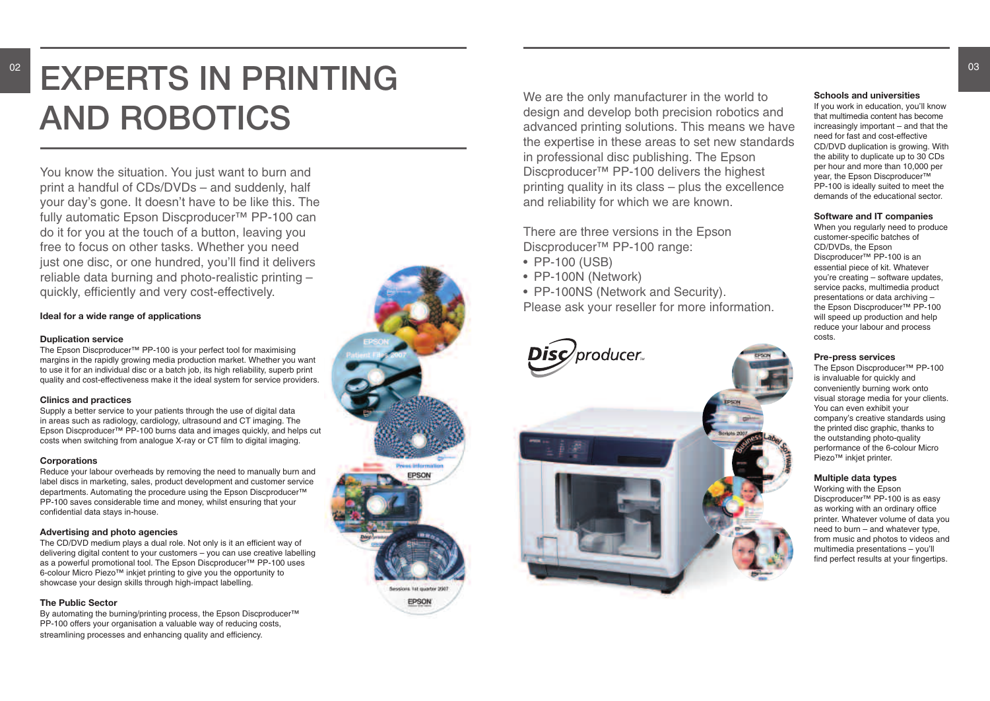# EXPERTS IN PRINTING **AND ROBOTICS**

You know the situation. You just want to burn and print a handful of CDs/DVDs – and suddenly, half your day's gone. It doesn't have to be like this. The fully automatic Epson Discproducer™ PP-100 can do it for you at the touch of a button, leaving you free to focus on other tasks. Whether you need just one disc, or one hundred, you'll find it delivers reliable data burning and photo-realistic printing quickly, efficiently and very cost-effectively.

### Ideal for a wide range of applications

### **Duplication service**

The Epson Discproducer™ PP-100 is your perfect tool for maximising margins in the rapidly growing media production market. Whether you want to use it for an individual disc or a batch job, its high reliability, superb print quality and cost-effectiveness make it the ideal system for service providers.

### **Clinics and practices**

Supply a better service to your patients through the use of digital data in areas such as radiology, cardiology, ultrasound and CT imaging. The Epson Discproducer<sup>™</sup> PP-100 burns data and images quickly, and helps cut costs when switching from analogue X-ray or CT film to digital imaging.

### **Corporations**

Reduce your labour overheads by removing the need to manually burn and label discs in marketing, sales, product development and customer service departments. Automating the procedure using the Epson Discproducer™ PP-100 saves considerable time and money, whilst ensuring that your confidential data stays in-house.

## **Advertising and photo agencies**

The CD/DVD medium plays a dual role. Not only is it an efficient way of delivering digital content to your customers – you can use creative labelling as a powerful promotional tool. The Epson Discproducer™ PP-100 uses 6-colour Micro Piezo™ inkjet printing to give you the opportunity to showcase your design skills through high-impact labelling.

### **The Public Sector**

By automating the burning/printing process, the Epson Discproducer<sup>™</sup> PP-100 offers your organisation a valuable way of reducing costs, streamlining processes and enhancing quality and efficiency.

We are the only manufacturer in the world to design and develop both precision robotics and advanced printing solutions. This means we have the expertise in these areas to set new standards in professional disc publishing. The Epson Discproducer<sup>™</sup> PP-100 delivers the highest printing quality in its class - plus the excellence and reliability for which we are known.

There are three versions in the Epson Discproducer<sup>™</sup> PP-100 range:

- PP-100 (USB)
- PP-100N (Network)
- PP-100NS (Network and Security).

Please ask your reseller for more information.





### Schools and universities

If you work in education, you'll know that multimedia content has become  $increasing$  important  $-$  and that the need for fast and cost-effective CD/DVD duplication is growing. With the ability to duplicate up to 30 CDs per hour and more than 10,000 per year, the Epson Discproducer™ PP-100 is ideally suited to meet the demands of the educational sector.

### Software and IT companies

When you regularly need to produce customer-specific batches of CD/DVDs, the Epson Discproducer<sup>™</sup> PP-100 is an essential piece of kit. Whatever you're creating - software updates, service packs, multimedia product presentations or data archiving the Epson Discproducer<sup>™</sup> PP-100 will speed up production and help reduce your labour and process costs.

### **Pre-press services**

The Epson Discproducer<sup>™</sup> PP-100 is invaluable for quickly and conveniently burning work onto visual storage media for your clients. You can even exhibit your company's creative standards using the printed disc graphic, thanks to the outstanding photo-quality performance of the 6-colour Micro Piezo<sup>™</sup> inkjet printer.

### **Multiple data types**

Working with the Epson Discproducer<sup>™</sup> PP-100 is as easy as working with an ordinary office printer. Whatever volume of data you need to burn - and whatever type, from music and photos to videos and multimedia presentations - you'll find perfect results at your fingertips.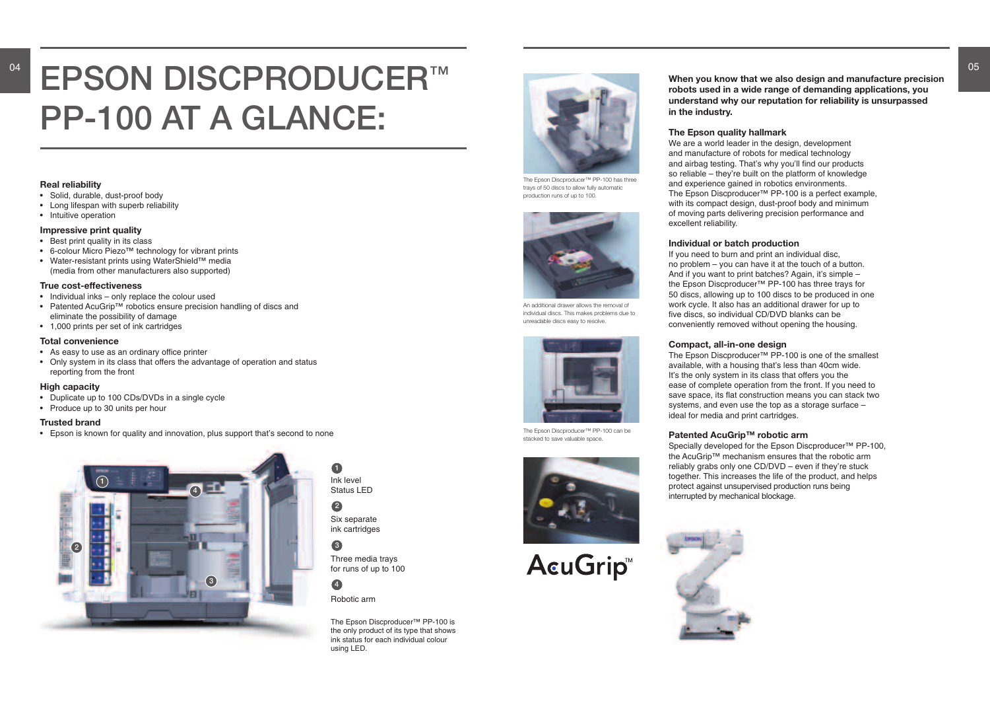# **EPSON DISCPRODUCER™ PP-100 AT A GLANCE:**

04

### **Real reliability**

- Solid, durable, dust-proof body
- Long lifespan with superb reliability
- Intuitive operation

### **Impressive print quality**

- Best print quality in its class
- 6-colour Micro Piezo™ technology for vibrant prints
- Water-resistant prints using WaterShield™ media (media from other manufacturers also supported)

### **True cost-effectiveness**

- Individual inks only replace the colour used
- Patented AcuGrip™ robotics ensure precision handling of discs and eliminate the possibility of damage
- 1,000 prints per set of ink cartridges

### **Total convenience**

- As easy to use as an ordinary office printer
- Only system in its class that offers the advantage of operation and status reporting from the front

### **High capacity**

- Duplicate up to 100 CDs/DVDs in a single cycle
- Produce up to 30 units per hour

### **Trusted brand**

• Epson is known for quality and innovation, plus support that's second to none

The Epson Discproducer™ PP-100 is the only product of its type that shows ink status for each individual colour using LED.



# **3**

# **4**

**1** Ink level Status LED

**2** Six separate ink cartridges

Three media trays for runs of up to 100

Robotic arm

### **When you know that we also design and manufacture precision robots used in a wide range of demanding applications, you understand why our reputation for reliability is unsurpassed**

**in the industry.**

# **The Epson quality hallmark**



The Epson Discproducer™ PP-100 can be stacked to save valuable space.



# **AcuGrip™**

We are a world leader in the design, development and manufacture of robots for medical technology and airbag testing. That's why you'll find our products so reliable – they're built on the platform of knowledge and experience gained in robotics environments. The Epson Discproducer™ PP-100 is a perfect example, with its compact design, dust-proof body and minimum of moving parts delivering precision performance and excellent reliability.

### **Individual or batch production**

If you need to burn and print an individual disc, no problem – you can have it at the touch of a button. And if you want to print batches? Again, it's simple – the Epson Discproducer™ PP-100 has three trays for 50 discs, allowing up to 100 discs to be produced in one work cycle. It also has an additional drawer for up to five discs, so individual CD/DVD blanks can be conveniently removed without opening the housing.

### **Compact, all-in-one design**

The Epson Discproducer™ PP-100 is one of the smallest available, with a housing that's less than 40cm wide. It's the only system in its class that offers you the ease of complete operation from the front. If you need to save space, its flat construction means you can stack two systems, and even use the top as a storage surface – ideal for media and print cartridges.

# **Patented AcuGrip™ robotic arm**

Specially developed for the Epson Discproducer™ PP-100, the AcuGrip™ mechanism ensures that the robotic arm reliably grabs only one CD/DVD – even if they're stuck together. This increases the life of the product, and helps protect against unsupervised production runs being interrupted by mechanical blockage.





The Epson Discproducer™ PP-100 has three trays of 50 discs to allow fully automatic production runs of up to 100.



An additional drawer allows the removal of individual discs. This makes problems due to unreadable discs easy to resolve.